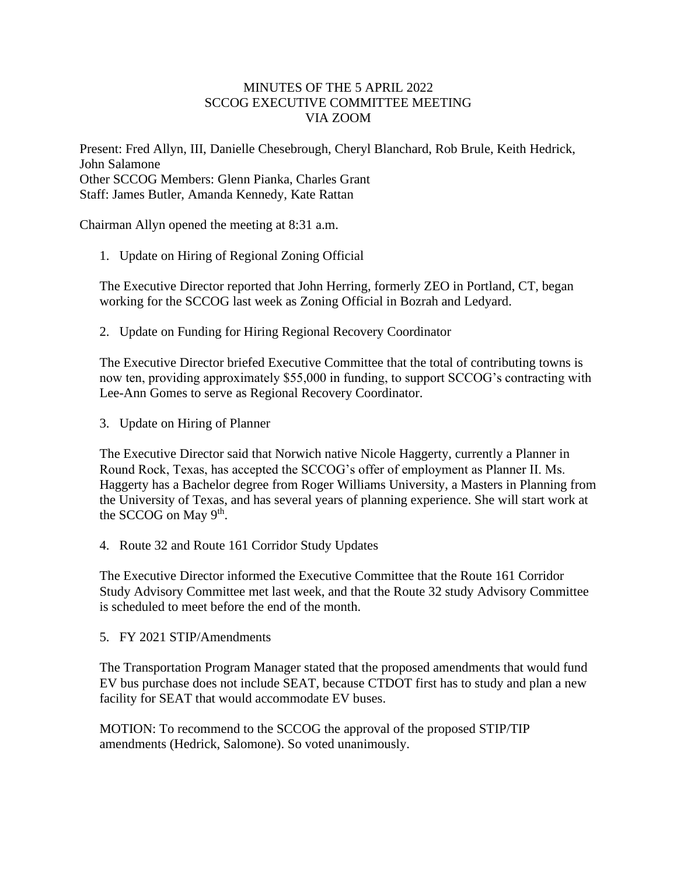## MINUTES OF THE 5 APRIL 2022 SCCOG EXECUTIVE COMMITTEE MEETING VIA ZOOM

Present: Fred Allyn, III, Danielle Chesebrough, Cheryl Blanchard, Rob Brule, Keith Hedrick, John Salamone Other SCCOG Members: Glenn Pianka, Charles Grant Staff: James Butler, Amanda Kennedy, Kate Rattan

Chairman Allyn opened the meeting at 8:31 a.m.

1. Update on Hiring of Regional Zoning Official

The Executive Director reported that John Herring, formerly ZEO in Portland, CT, began working for the SCCOG last week as Zoning Official in Bozrah and Ledyard.

2. Update on Funding for Hiring Regional Recovery Coordinator

The Executive Director briefed Executive Committee that the total of contributing towns is now ten, providing approximately \$55,000 in funding, to support SCCOG's contracting with Lee-Ann Gomes to serve as Regional Recovery Coordinator.

3. Update on Hiring of Planner

The Executive Director said that Norwich native Nicole Haggerty, currently a Planner in Round Rock, Texas, has accepted the SCCOG's offer of employment as Planner II. Ms. Haggerty has a Bachelor degree from Roger Williams University, a Masters in Planning from the University of Texas, and has several years of planning experience. She will start work at the SCCOG on May 9<sup>th</sup>.

4. Route 32 and Route 161 Corridor Study Updates

The Executive Director informed the Executive Committee that the Route 161 Corridor Study Advisory Committee met last week, and that the Route 32 study Advisory Committee is scheduled to meet before the end of the month.

5. FY 2021 STIP/Amendments

The Transportation Program Manager stated that the proposed amendments that would fund EV bus purchase does not include SEAT, because CTDOT first has to study and plan a new facility for SEAT that would accommodate EV buses.

MOTION: To recommend to the SCCOG the approval of the proposed STIP/TIP amendments (Hedrick, Salomone). So voted unanimously.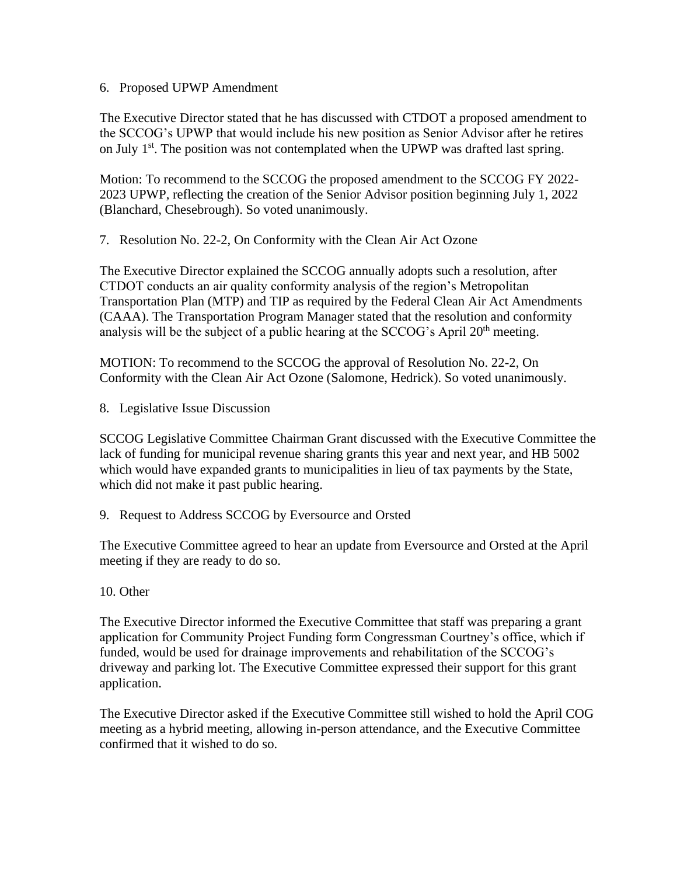## 6. Proposed UPWP Amendment

The Executive Director stated that he has discussed with CTDOT a proposed amendment to the SCCOG's UPWP that would include his new position as Senior Advisor after he retires on July  $1<sup>st</sup>$ . The position was not contemplated when the UPWP was drafted last spring.

Motion: To recommend to the SCCOG the proposed amendment to the SCCOG FY 2022- 2023 UPWP, reflecting the creation of the Senior Advisor position beginning July 1, 2022 (Blanchard, Chesebrough). So voted unanimously.

7. Resolution No. 22-2, On Conformity with the Clean Air Act Ozone

The Executive Director explained the SCCOG annually adopts such a resolution, after CTDOT conducts an air quality conformity analysis of the region's Metropolitan Transportation Plan (MTP) and TIP as required by the Federal Clean Air Act Amendments (CAAA). The Transportation Program Manager stated that the resolution and conformity analysis will be the subject of a public hearing at the SCCOG's April 20<sup>th</sup> meeting.

MOTION: To recommend to the SCCOG the approval of Resolution No. 22-2, On Conformity with the Clean Air Act Ozone (Salomone, Hedrick). So voted unanimously.

8. Legislative Issue Discussion

SCCOG Legislative Committee Chairman Grant discussed with the Executive Committee the lack of funding for municipal revenue sharing grants this year and next year, and HB 5002 which would have expanded grants to municipalities in lieu of tax payments by the State, which did not make it past public hearing.

9. Request to Address SCCOG by Eversource and Orsted

The Executive Committee agreed to hear an update from Eversource and Orsted at the April meeting if they are ready to do so.

10. Other

The Executive Director informed the Executive Committee that staff was preparing a grant application for Community Project Funding form Congressman Courtney's office, which if funded, would be used for drainage improvements and rehabilitation of the SCCOG's driveway and parking lot. The Executive Committee expressed their support for this grant application.

The Executive Director asked if the Executive Committee still wished to hold the April COG meeting as a hybrid meeting, allowing in-person attendance, and the Executive Committee confirmed that it wished to do so.